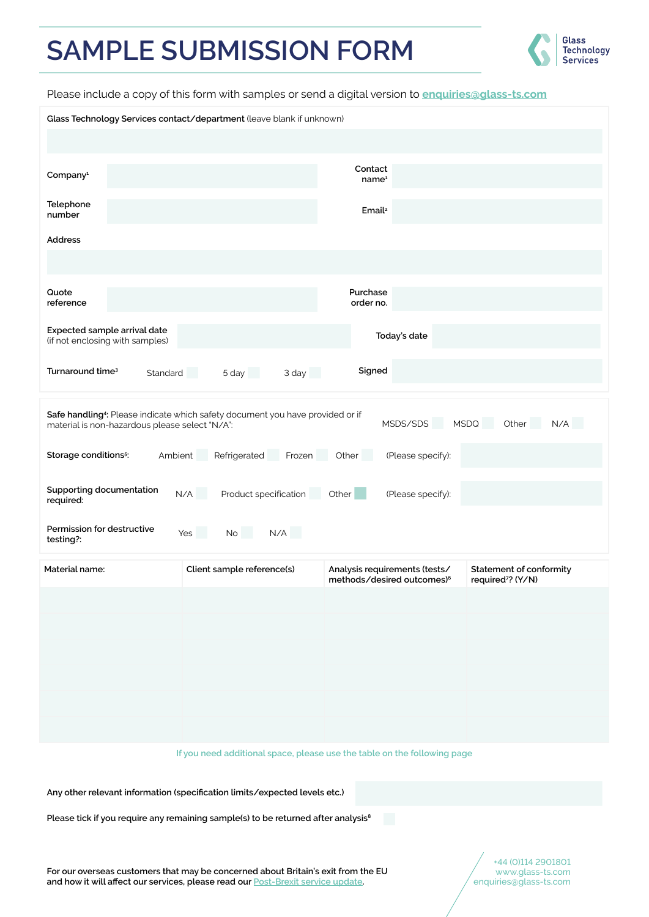## **SAMPLE SUBMISSION FORM**



Please include a copy of this form with samples or send a digital version to **enquiries@glass-ts.com**

| Glass Technology Services contact/department (leave blank if unknown)                                                                                                                                      |                            |                                                                         |                                                                 |
|------------------------------------------------------------------------------------------------------------------------------------------------------------------------------------------------------------|----------------------------|-------------------------------------------------------------------------|-----------------------------------------------------------------|
|                                                                                                                                                                                                            |                            |                                                                         |                                                                 |
|                                                                                                                                                                                                            |                            |                                                                         |                                                                 |
| Company <sup>1</sup>                                                                                                                                                                                       |                            | Contact<br>name <sup>1</sup>                                            |                                                                 |
| Telephone<br>number                                                                                                                                                                                        |                            | Email <sup>2</sup>                                                      |                                                                 |
| <b>Address</b>                                                                                                                                                                                             |                            |                                                                         |                                                                 |
|                                                                                                                                                                                                            |                            |                                                                         |                                                                 |
|                                                                                                                                                                                                            |                            |                                                                         |                                                                 |
| Quote<br>reference                                                                                                                                                                                         |                            | Purchase<br>order no.                                                   |                                                                 |
| Expected sample arrival date<br>(if not enclosing with samples)                                                                                                                                            |                            | Today's date                                                            |                                                                 |
| Turnaround time <sup>3</sup><br>Standard                                                                                                                                                                   | 5 day<br>3 day             | Signed                                                                  |                                                                 |
|                                                                                                                                                                                                            |                            |                                                                         |                                                                 |
| Safe handling <sup>4</sup> : Please indicate which safety document you have provided or if<br>MSDS/SDS<br><b>MSDQ</b><br><b>Contract</b><br>Other<br>N/A<br>material is non-hazardous please select "N/A": |                            |                                                                         |                                                                 |
| Refrigerated Frozen<br>Other<br>Storage conditions <sup>5</sup> :<br>Ambient<br>(Please specify):                                                                                                          |                            |                                                                         |                                                                 |
| Supporting documentation<br>N/A<br>Product specification<br>Other<br>(Please specify):<br>required:                                                                                                        |                            |                                                                         |                                                                 |
| Permission for destructive<br><b>In the Second State</b><br>No<br>N/A<br>Yes<br>testing?:                                                                                                                  |                            |                                                                         |                                                                 |
| Material name:                                                                                                                                                                                             | Client sample reference(s) | Analysis requirements (tests/<br>methods/desired outcomes) <sup>6</sup> | <b>Statement of conformity</b><br>required <sup>7</sup> ? (Y/N) |
|                                                                                                                                                                                                            |                            |                                                                         |                                                                 |
|                                                                                                                                                                                                            |                            |                                                                         |                                                                 |
|                                                                                                                                                                                                            |                            |                                                                         |                                                                 |
|                                                                                                                                                                                                            |                            |                                                                         |                                                                 |
|                                                                                                                                                                                                            |                            |                                                                         |                                                                 |
|                                                                                                                                                                                                            |                            |                                                                         |                                                                 |
|                                                                                                                                                                                                            |                            |                                                                         |                                                                 |
|                                                                                                                                                                                                            |                            |                                                                         |                                                                 |
| If you need additional space, please use the table on the following page                                                                                                                                   |                            |                                                                         |                                                                 |
| Any other relevant information (specification limits/expected levels etc.)                                                                                                                                 |                            |                                                                         |                                                                 |
| M.<br>Please tick if you require any remaining sample(s) to be returned after analysis <sup>8</sup>                                                                                                        |                            |                                                                         |                                                                 |
| For our overseas customers that may be concerned about Britain's exit from the EU                                                                                                                          |                            |                                                                         | +44 (0)114 2901801<br>www.glass-ts.com                          |
| and how it will affect our services, please read our <b>Post-Brexit service update</b> .<br>enquiries@glass-ts.com                                                                                         |                            |                                                                         |                                                                 |